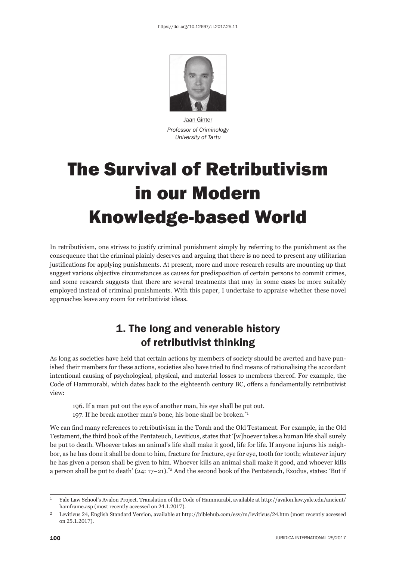

Jaan Ginter *Professor of Criminology University of Tartu*

# The Survival of Retributivism in our Modern Knowledge-based World

In retributivism, one strives to justify criminal punishment simply by referring to the punishment as the consequence that the criminal plainly deserves and arguing that there is no need to present any utilitarian justifications for applying punishments. At present, more and more research results are mounting up that suggest various objective circumstances as causes for predisposition of certain persons to commit crimes, and some research suggests that there are several treatments that may in some cases be more suitably employed instead of criminal punishments. With this paper, I undertake to appraise whether these novel approaches leave any room for retributivist ideas.

# 1. The long and venerable history of retributivist thinking

As long as societies have held that certain actions by members of society should be averted and have punished their members for these actions, societies also have tried to find means of rationalising the accordant intentional causing of psychological, physical, and material losses to members thereof. For example, the Code of Hammurabi, which dates back to the eighteenth century BC, offers a fundamentally retributivist view:

196. If a man put out the eye of another man, his eye shall be put out.

197. If he break another man's bone, his bone shall be broken.\*1

We can find many references to retributivism in the Torah and the Old Testament. For example, in the Old Testament, the third book of the Pentateuch, Leviticus, states that '[w]hoever takes a human life shall surely be put to death. Whoever takes an animal's life shall make it good, life for life. If anyone injures his neighbor, as he has done it shall be done to him, fracture for fracture, eye for eye, tooth for tooth; whatever injury he has given a person shall be given to him. Whoever kills an animal shall make it good, and whoever kills a person shall be put to death'  $(24: 17-21)$ .<sup>\*2</sup> And the second book of the Pentateuch, Exodus, states: 'But if

<sup>&</sup>lt;sup>1</sup> Yale Law School's Avalon Project. Translation of the Code of Hammurabi, available at http://avalon.law.yale.edu/ancient/ hamframe.asp (most recently accessed on 24.1.2017).

<sup>&</sup>lt;sup>2</sup> Leviticus 24, English Standard Version, available at http://biblehub.com/esv/m/leviticus/24.htm (most recently accessed on 25.1.2017).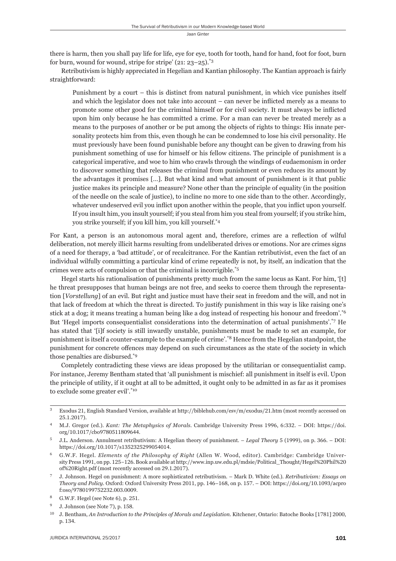there is harm, then you shall pay life for life, eye for eye, tooth for tooth, hand for hand, foot for foot, burn for burn, wound for wound, stripe for stripe'  $(21: 23-25)$ .<sup>\*3</sup>

Retributivism is highly appreciated in Hegelian and Kantian philosophy. The Kantian approach is fairly straightforward:

Punishment by a court – this is distinct from natural punishment, in which vice punishes itself and which the legislator does not take into account  $-$  can never be inflicted merely as a means to promote some other good for the criminal himself or for civil society. It must always be inflicted upon him only because he has committed a crime. For a man can never be treated merely as a means to the purposes of another or be put among the objects of rights to things: His innate personality protects him from this, even though he can be condemned to lose his civil personality. He must previously have been found punishable before any thought can be given to drawing from his punishment something of use for himself or his fellow citizens. The principle of punishment is a categorical imperative, and woe to him who crawls through the windings of eudaemonism in order to discover something that releases the criminal from punishment or even reduces its amount by the advantages it promises […]. But what kind and what amount of punishment is it that public justice makes its principle and measure? None other than the principle of equality (in the position of the needle on the scale of justice), to incline no more to one side than to the other. Accordingly, whatever undeserved evil you inflict upon another within the people, that you inflict upon yourself. If you insult him, you insult yourself; if you steal from him you steal from yourself; if you strike him, you strike yourself; if you kill him, you kill yourself.\*4

For Kant, a person is an autonomous moral agent and, therefore, crimes are a reflection of wilful deliberation, not merely illicit harms resulting from undeliberated drives or emotions. Nor are crimes signs of a need for therapy, a 'bad attitude', or of recalcitrance. For the Kantian retributivist, even the fact of an individual wilfully committing a particular kind of crime repeatedly is not, by itself, an indication that the crimes were acts of compulsion or that the criminal is incorrigible.\*5

Hegel starts his rationalisation of punishments pretty much from the same locus as Kant. For him, '[t] he threat presupposes that human beings are not free, and seeks to coerce them through the representation [*Vorstellung*] of an evil. But right and justice must have their seat in freedom and the will, and not in that lack of freedom at which the threat is directed. To justify punishment in this way is like raising one's stick at a dog; it means treating a human being like a dog instead of respecting his honour and freedom'.<sup>\*6</sup> But 'Hegel imports consequentialist considerations into the determination of actual punishments'.\*7 He has stated that '[i]f society is still inwardly unstable, punishments must be made to set an example, for punishment is itself a counter-example to the example of crime'.\*8 Hence from the Hegelian standpoint, the punishment for concrete offences may depend on such circumstances as the state of the society in which those penalties are disbursed.\*9

Completely contradicting these views are ideas proposed by the utilitarian or consequentialist camp. For instance, Jeremy Bentham stated that 'all punishment is mischief: all punishment in itself is evil. Upon the principle of utility, if it ought at all to be admitted, it ought only to be admitted in as far as it promises to exclude some greater evil'.\*10

<sup>&</sup>lt;sup>3</sup> Exodus 21, English Standard Version, available at http://biblehub.com/esv/m/exodus/21.htm (most recently accessed on  $25.1.2017$ .

M.J. Gregor (ed.). *Kant: The Metaphysics of Morals*. Cambridge University Press 1996, 6:332. - DOI: https://doi. org/10.1017/cbo9780511809644.

<sup>&</sup>lt;sup>5</sup> J.L. Anderson. Annulment retributivism: A Hegelian theory of punishment. – *Legal Theory* 5 (1999), on p. 366. – DOI: https://doi.org/10.1017/s1352325299054014.

ɷ G.W.F. Hegel. *Elements of the Philosophy of Right* (Allen W. Wood, editor). Cambridge: Cambridge University Press 1991, on pp. 125-126. Book available at http://www.inp.uw.edu.pl/mdsie/Political\_Thought/Hegel%20Phil%20 of%20Right.pdf (most recently accessed on 29.1.2017).

<sup>ɸ</sup> J. Johnson. Hegel on punishment: A more sophisticated retributivism. – Mark D. White (ed.). *Retributivism: Essays on Theory and Policy*. Oxford: Oxford University Press 2011, pp. 146-168, on p. 157. – DOI: https://doi.org/10.1093/acpro f:oso/9780199752232.003.0009.

 $8$  G.W.F. Hegel (see Note 6), p. 251.

J. Johnson (see Note 7), p. 158.

<sup>&</sup>lt;sup>10</sup> J. Bentham, *An Introduction to the Principles of Morals and Legislation*. Kitchener, Ontario: Batoche Books [1781] 2000, p. 134.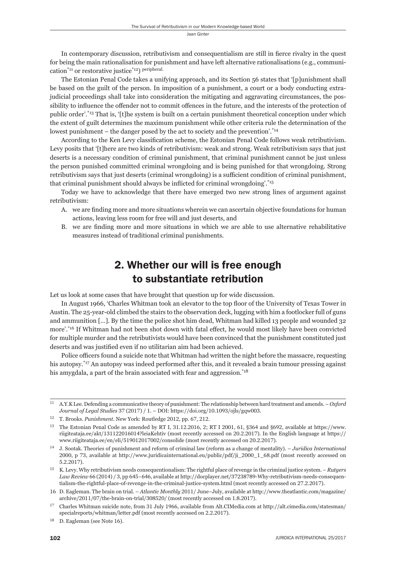In contemporary discussion, retributivism and consequentialism are still in fierce rivalry in the quest for being the main rationalisation for punishment and have left alternative rationalisations (e.g., communication\*11 or restorative justice\*12) peripheral.

The Estonian Penal Code takes a unifying approach, and its Section 56 states that '[p]unishment shall be based on the guilt of the person. In imposition of a punishment, a court or a body conducting extrajudicial proceedings shall take into consideration the mitigating and aggravating circumstances, the possibility to influence the offender not to commit offences in the future, and the interests of the protection of public order'.\*13 That is, '[t]he system is built on a certain punishment theoretical conception under which the extent of guilt determines the maximum punishment while other criteria rule the determination of the lowest punishment – the danger posed by the act to society and the prevention'.<sup>\*14</sup>

According to the Ken Levy classification scheme, the Estonian Penal Code follows weak retributivism. Levy posits that '[t]here are two kinds of retributivism: weak and strong. Weak retributivism says that just deserts is a necessary condition of criminal punishment, that criminal punishment cannot be just unless the person punished committed criminal wrongdoing and is being punished for that wrongdoing. Strong retributivism says that just deserts (criminal wrongdoing) is a sufficient condition of criminal punishment, that criminal punishment should always be inflicted for criminal wrongdoing'.<sup>\*15</sup>

Today we have to acknowledge that there have emerged two new strong lines of argument against retributivism:

- A. we are finding more and more situations wherein we can ascertain objective foundations for human actions, leaving less room for free will and just deserts, and
- B. we are finding more and more situations in which we are able to use alternative rehabilitative measures instead of traditional criminal punishments.

## 2. Whether our will is free enough to substantiate retribution

Let us look at some cases that have brought that question up for wide discussion.

In August 1966, 'Charles Whitman took an elevator to the top floor of the University of Texas Tower in Austin. The 25-year-old climbed the stairs to the observation deck, lugging with him a footlocker full of guns and ammunition […]. By the time the police shot him dead, Whitman had killed 13 people and wounded 32 more'.<sup>\*16</sup> If Whitman had not been shot down with fatal effect, he would most likely have been convicted for multiple murder and the retributivists would have been convinced that the punishment constituted just deserts and was justified even if no utilitarian aim had been achieved.

Police officers found a suicide note that Whitman had written the night before the massacre, requesting his autopsy.<sup>\*17</sup> An autopsy was indeed performed after this, and it revealed a brain tumour pressing against his amygdala, a part of the brain associated with fear and aggression.<sup>\*18</sup>

ɲɲ A.Y.K Lee. Defending a communicative theory of punishment: The relationship between hard treatment and amends. – *Oxford Journal of Legal Studies* 37 (2017) / 1. – DOI: https://doi.org/10.1093/ojls/gqw003.

<sup>&</sup>lt;sup>12</sup> T. Brooks. *Punishment*. New York: Routledge 2012, pp. 67, 212.

<sup>&</sup>lt;sup>13</sup> The Estonian Penal Code as amended by RT I, 31.12.2016, 2; RT I 2001, 61, §364 and §692, available at https://www. riigiteataja.ee/akt/131122016014?leiaKehtiv (most recently accessed on 20.2.2017). In the English language at https:// www.riigiteataja.ee/en/eli/519012017002/consolide (most recently accessed on 20.2.2017).

ɲɵ J. Sootak. Theories of punishment and reform of criminal law (reform as a change of mentality). – *Juridica International*  2000, p 73, available at http://www.juridicainternational.eu/public/pdf/ji\_2000\_1\_68.pdf (most recently accessed on  $5.2.2017$ .

ɲɶ K. Levy. Why retributivism needs consequentionalism: The rightful place of revenge in the criminal justice system. − *Rutgers Law Review* 66 (2014) / 3, pp 645-646, available at http://docplayer.net/37238789-Why-retributivism-needs-consequentialism-the-rightful-place-of-revenge-in-the-criminal-justice-system.html (most recently accessed on 27.2.2017).

<sup>16</sup> D. Eagleman. The brain on trial. – *Atlantic Monthly* 2011/ June–July, available at http://www.theatlantic.com/magazine/ archive/2011/07/the-brain-on-trial/308520/ (most recently accessed on 1.8.2017).

<sup>&</sup>lt;sup>17</sup> Charles Whitman suicide note, from 31 July 1966, available from Alt.CIMedia.com at http://alt.cimedia.com/statesman/ specialreports/whitman/letter.pdf (most recently accessed on 2.2.2017).

 $18$  D. Eagleman (see Note 16).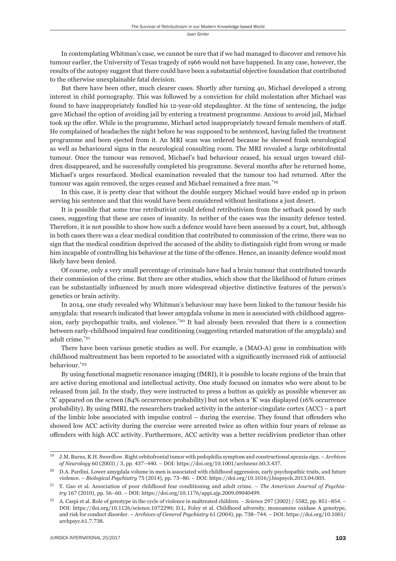In contemplating Whitman's case, we cannot be sure that if we had managed to discover and remove his tumour earlier, the University of Texas tragedy of 1966 would not have happened. In any case, however, the results of the autopsy suggest that there could have been a substantial objective foundation that contributed to the otherwise unexplainable fatal decision.

But there have been other, much clearer cases. Shortly after turning 40, Michael developed a strong interest in child pornography. This was followed by a conviction for child molestation after Michael was found to have inappropriately fondled his 12-year-old stepdaughter. At the time of sentencing, the judge gave Michael the option of avoiding jail by entering a treatment programme. Anxious to avoid jail, Michael took up the offer. While in the programme, Michael acted inappropriately toward female members of staff. He complained of headaches the night before he was supposed to be sentenced, having failed the treatment programme and been ejected from it. An MRI scan was ordered because he showed frank neurological as well as behavioural signs in the neurological consulting room. The MRI revealed a large orbitofrontal tumour. Once the tumour was removed, Michael's bad behaviour ceased, his sexual urges toward children disappeared, and he successfully completed his programme. Several months after he returned home, Michael's urges resurfaced. Medical examination revealed that the tumour too had returned. After the tumour was again removed, the urges ceased and Michael remained a free man.\*19

In this case, it is pretty clear that without the double surgery Michael would have ended up in prison serving his sentence and that this would have been considered without hesitations a just desert.

It is possible that some true retributivist could defend retributivism from the setback posed by such cases, suggesting that these are cases of insanity. In neither of the cases was the insanity defence tested. Therefore, it is not possible to show how such a defence would have been assessed by a court, but, although in both cases there was a clear medical condition that contributed to commission of the crime, there was no sign that the medical condition deprived the accused of the ability to distinguish right from wrong or made him incapable of controlling his behaviour at the time of the offence. Hence, an insanity defence would most likely have been denied.

Of course, only a very small percentage of criminals have had a brain tumour that contributed towards their commission of the crime. But there are other studies, which show that the likelihood of future crimes can be substantially influenced by much more widespread objective distinctive features of the person's genetics or brain activity.

In 2014, one study revealed why Whitman's behaviour may have been linked to the tumour beside his amygdala: that research indicated that lower amygdala volume in men is associated with childhood aggression, early psychopathic traits, and violence.\*20 It had already been revealed that there is a connection between early-childhood impaired fear conditioning (suggesting retarded maturation of the amygdala) and adult crime.<sup>\*21</sup>

There have been various genetic studies as well. For example, a (MAO-A) gene in combination with childhood maltreatment has been reported to be associated with a significantly increased risk of antisocial behaviour.\*22

By using functional magnetic resonance imaging (fMRI), it is possible to locate regions of the brain that are active during emotional and intellectual activity. One study focused on inmates who were about to be released from jail. In the study, they were instructed to press a button as quickly as possible whenever an 'X' appeared on the screen (84% occurrence probability) but not when a 'K' was displayed (16% occurrence probability). By using fMRI, the researchers tracked activity in the anterior-cingulate cortex (ACC) – a part of the limbic lobe associated with impulse control  $-$  during the exercise. They found that offenders who showed low ACC activity during the exercise were arrested twice as often within four years of release as offenders with high ACC activity. Furthermore, ACC activity was a better recidivism predictor than other

ɲɺ J.M. Burns, R.H. Swerdlow. Right orbitofrontal tumor with pedophilia symptom and constructional apraxia sign. – *Archives of Neurology* 60 (2003) / 3, pp. 437–440. – DOI: https://doi.org/10.1001/archneur.60.3.437.

 $^{20}$  D.A. Pardini. Lower amygdala volume in men is associated with childhood aggression, early psychopathic traits, and future violence. – *Biological Psychiatry* 75 (2014), pp. 73–80. – DOI: https://doi.org/10.1016/j.biopsych.2013.04.003.

<sup>&</sup>lt;sup>21</sup> Y. Gao et al. Association of poor childhood fear conditioning and adult crime. – *The American Journal of Psychiatry* 167 (2010), pp. 56-60. – DOI: https://doi.org/10.1176/appi.ajp.2009.09040499.

<sup>&</sup>lt;sup>22</sup> A. Caspi et al. Role of genotype in the cycle of violence in maltreated children. – *Science* 297 (2002) / 5582, pp. 851–854. – DOI: https://doi.org/10.1126/science.1072290; D.L. Foley et al. Childhood adversity, monoamine oxidase A genotype, and risk for conduct disorder. – Archives of General Psychiatry 61 (2004), pp. 738–744. – DOI: https://doi.org/10.1001/ archpsyc.61.7.738.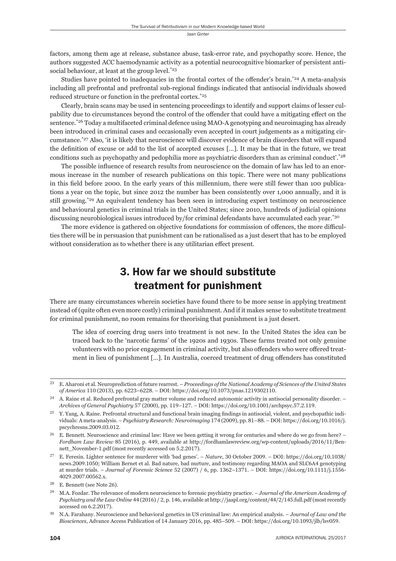factors, among them age at release, substance abuse, task-error rate, and psychopathy score. Hence, the authors suggested ACC haemodynamic activity as a potential neurocognitive biomarker of persistent antisocial behaviour, at least at the group level. $*$ <sup>23</sup>

Studies have pointed to inadequacies in the frontal cortex of the offender's brain.\*24 A meta-analysis including all prefrontal and prefrontal sub-regional findings indicated that antisocial individuals showed reduced structure or function in the prefrontal cortex.\*25

Clearly, brain scans may be used in sentencing proceedings to identify and support claims of lesser culpability due to circumstances beyond the control of the offender that could have a mitigating effect on the sentence.<sup>\*26</sup> Today a multifaceted criminal defence using MAO-A genotyping and neuroimaging has already been introduced in criminal cases and occasionally even accepted in court judgements as a mitigating circumstance.\*27 Also, 'it is likely that neuroscience will discover evidence of brain disorders that will expand the definition of excuse or add to the list of accepted excuses [...]. It may be that in the future, we treat conditions such as psychopathy and pedophilia more as psychiatric disorders than as criminal conduct'.\*28

The possible influence of research results from neuroscience on the domain of law has led to an enormous increase in the number of research publications on this topic. There were not many publications in this field before 2000. In the early years of this millennium, there were still fewer than 100 publications a year on the topic, but since 2012 the number has been consistently over 1,000 annually, and it is still growing.\*29 An equivalent tendency has been seen in introducing expert testimony on neuroscience and behavioural genetics in criminal trials in the United States; since 2010, hundreds of judicial opinions discussing neurobiological issues introduced by/for criminal defendants have accumulated each year.\*30

The more evidence is gathered on objective foundations for commission of offences, the more difficulties there will be in persuasion that punishment can be rationalised as a just desert that has to be employed without consideration as to whether there is any utilitarian effect present.

### 3. How far we should substitute treatment for punishment

There are many circumstances wherein societies have found there to be more sense in applying treatment instead of (quite often even more costly) criminal punishment. And if it makes sense to substitute treatment for criminal punishment, no room remains for theorising that punishment is a just desert.

The idea of coercing drug users into treatment is not new. In the United States the idea can be traced back to the 'narcotic farms' of the 1920s and 1930s. These farms treated not only genuine volunteers with no prior engagement in criminal activity, but also offenders who were offered treatment in lieu of punishment [...]. In Australia, coerced treatment of drug offenders has constituted

ɳɴ E. Aharoni et al. Neuroprediction of future rearrest. – *Proceedings of the National Academy of Sciences of the United States*  of America 110 (2013), pp. 6223-6228. – DOI: https://doi.org/10.1073/pnas.1219302110.

 $^{24}$  A. Raine et al. Reduced prefrontal gray matter volume and reduced autonomic activity in antisocial personality disorder. – *Archives of General Psychiatry* 57 (2000), pp. 119–127. – DOI: https://doi.org/10.1001/archpsyc.57.2.119.

<sup>&</sup>lt;sup>25</sup> Y. Yang, A. Raine. Prefrontal structural and functional brain imaging findings in antisocial, violent, and psychopathic individuals: A meta-analysis. – *Psychiatry Research: Neuroimaging* 174 (2009), pp. 81–88. – DOI: https://doi.org/10.1016/j. pscychresns.2009.03.012.

<sup>&</sup>lt;sup>26</sup> E. Bennett. Neuroscience and criminal law: Have we been getting it wrong for centuries and where do we go from here? − *Fordham Law Review* 85 (2016), p. 449, available at http://fordhamlawreview.org/wp-content/uploads/2016/11/Bennett\_November-1.pdf (most recently accessed on 5.2.2017).

<sup>&</sup>lt;sup>27</sup> E. Feresin. Lighter sentence for murderer with 'bad genes'. – *Nature*, 30 October 2009. – DOI: https://doi.org/10.1038/ news.2009.1050; William Bernet et al. Bad nature, bad nurture, and testimony regarding MAOA and SLC6A4 genotyping at murder trials. – *Journal of Forensic Science* 52 (2007) / 6, pp. 1362–1371. – DOI: https://doi.org/10.1111/j.1556-4029.2007.00562.x.

<sup>&</sup>lt;sup>28</sup> E. Bennett (see Note 26).

ɳɺ M.A. Fozdar. The relevance of modern neuroscience to forensic psychiatry practice. – *Journal of the American Academy of Psychiatry and the Law Online* 44 (2016) / 2, p. 146, available at http://jaapl.org/content/44/2/145.full.pdf (most recently accessed on 6.2.2017).

ɴɱ N.A. Farahany. Neuroscience and behavioral genetics in US criminal law: An empirical analysis. – *Journal of Law and the*  Biosciences, Advance Access Publication of 14 January 2016, pp. 485-509. - DOI: https://doi.org/10.1093/jlb/lsv059.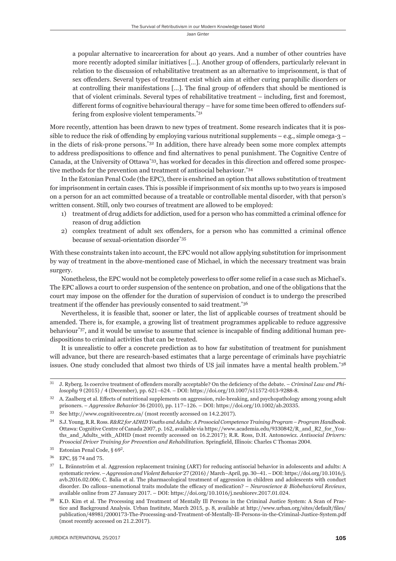a popular alternative to incarceration for about 40 years. And a number of other countries have more recently adopted similar initiatives [...]. Another group of offenders, particularly relevant in relation to the discussion of rehabilitative treatment as an alternative to imprisonment, is that of sex offenders. Several types of treatment exist which aim at either curing paraphilic disorders or at controlling their manifestations [...]. The final group of offenders that should be mentioned is that of violent criminals. Several types of rehabilitative treatment – including, first and foremost, different forms of cognitive behavioural therapy – have for some time been offered to offenders suffering from explosive violent temperaments.\*31

More recently, attention has been drawn to new types of treatment. Some research indicates that it is possible to reduce the risk of offending by employing various nutritional supplements – e.g., simple omega-3 – in the diets of risk-prone persons.\*32 In addition, there have already been some more complex attempts to address predispositions to offence and find alternatives to penal punishment. The Cognitive Centre of Canada, at the University of Ottawa<sup>\*33</sup>, has worked for decades in this direction and offered some prospective methods for the prevention and treatment of antisocial behaviour.\*34

In the Estonian Penal Code (the EPC), there is enshrined an option that allows substitution of treatment for imprisonment in certain cases. This is possible if imprisonment of six months up to two years is imposed on a person for an act committed because of a treatable or controllable mental disorder, with that person's written consent. Still, only two courses of treatment are allowed to be employed:

- 1) treatment of drug addicts for addiction, used for a person who has committed a criminal offence for reason of drug addiction
- 2) complex treatment of adult sex offenders, for a person who has committed a criminal offence because of sexual-orientation disorder\*35

With these constraints taken into account, the EPC would not allow applying substitution for imprisonment by way of treatment in the above-mentioned case of Michael, in which the necessary treatment was brain surgery.

Nonetheless, the EPC would not be completely powerless to offer some relief in a case such as Michael's. The EPC allows a court to order suspension of the sentence on probation, and one of the obligations that the court may impose on the offender for the duration of supervision of conduct is to undergo the prescribed treatment if the offender has previously consented to said treatment.<sup>\*36</sup>

Nevertheless, it is feasible that, sooner or later, the list of applicable courses of treatment should be amended. There is, for example, a growing list of treatment programmes applicable to reduce aggressive behaviour<sup>\*37</sup>, and it would be unwise to assume that science is incapable of finding additional human predispositions to criminal activities that can be treated.

It is unrealistic to offer a concrete prediction as to how far substitution of treatment for punishment will advance, but there are research-based estimates that a large percentage of criminals have psychiatric issues. One study concluded that almost two thirds of US jail inmates have a mental health problem.\*38

<sup>&</sup>lt;sup>31</sup> J. Ryberg. Is coercive treatment of offenders morally acceptable? On the deficiency of the debate. – *Criminal Law and Philosophy*  $9$  (2015) /  $4$  (December), pp.  $621-624$ . – DOI: https://doi.org/10.1007/s11572-013-9288-8.

<sup>&</sup>lt;sup>32</sup> A. Zaalberg et al. Effects of nutritional supplements on aggression, rule-breaking, and psychopathology among young adult prisoners. – *Aggressive Behavior* 36 (2010), pp. 117–126. – DOI: https://doi.org/10.1002/ab.20335.

<sup>&</sup>lt;sup>33</sup> See http://www.cognitivecentre.ca/ (most recently accessed on 14.2.2017).

ɴɵ S.J. Young, R.R. Ross. *R&Rɳ for ADHD Youths and Adults: A Prosocial Competence Training Program – Program Handbook*. Ottawa: Cognitive Centre of Canada 2007, p. 162, available via https://www.academia.edu/9330842/R\_and\_R2\_for\_Youths\_and\_Adults\_with\_ADHD (most recently accessed on 16.2.2017); R.R. Ross, D.H. Antonowicz. *Antisocial Drivers: Prosocial Driver Training for Prevention and Rehabilitation*. Springfield, Illinois: Charles C Thomas 2004.

 $^{35}$  Estonian Penal Code,  $\S~69^2.$ 

<sup>&</sup>lt;sup>36</sup> EPC, §§ 74 and 75.

 $37$  L. Brännström et al. Aggression replacement training (ART) for reducing antisocial behavior in adolescents and adults: A systematic review. – *Aggression and Violent Behavior* 27 (2016) / March–April, pp. 30–41. – DOI: https://doi.org/10.1016/j. avb.2016.02.006; C. Balia et al. The pharmacological treatment of aggression in children and adolescents with conduct disorder. Do callous–unemotional traits modulate the efficacy of medication? – *Neuroscience & Biobehavioral Reviews*, available online from 27 January 2017. – DOI: https://doi.org/10.1016/j.neubiorev.2017.01.024.

K.D. Kim et al. The Processing and Treatment of Mentally Ill Persons in the Criminal Justice System: A Scan of Practice and Background Analysis. Urban Institute, March 2015, p. 8, available at http://www.urban.org/sites/default/files/ publication/48981/2000173-The-Processing-and-Treatment-of-Mentally-Ill-Persons-in-the-Criminal-Justice-System.pdf (most recently accessed on 21.2.2017).